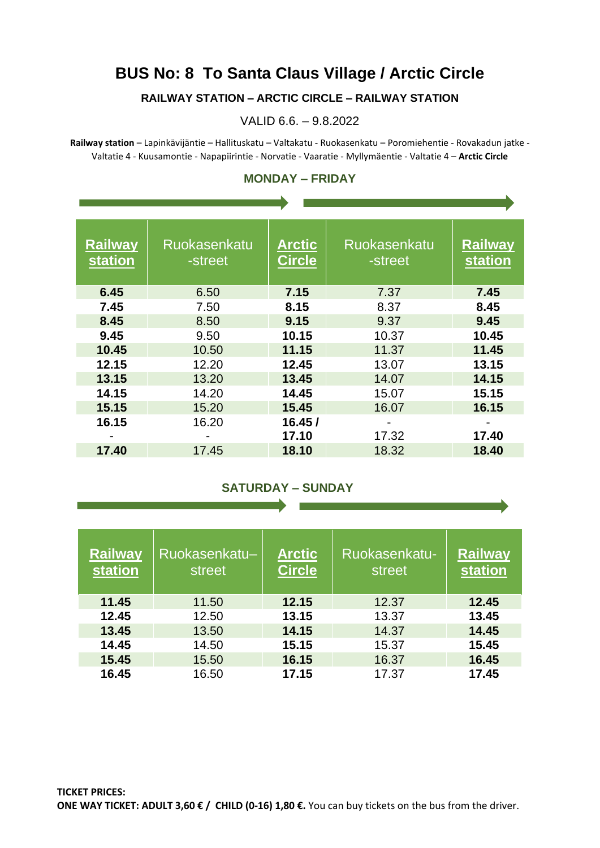## **BUS No: 8 To Santa Claus Village / Arctic Circle**

### **RAILWAY STATION – ARCTIC CIRCLE – RAILWAY STATION**

#### VALID 6.6. – 9.8.2022

**Railway station** – Lapinkävijäntie – Hallituskatu – Valtakatu - Ruokasenkatu – Poromiehentie - Rovakadun jatke - Valtatie 4 - Kuusamontie - Napapiirintie - Norvatie - Vaaratie - Myllymäentie - Valtatie 4 – **Arctic Circle**

| <b>Railway</b><br><b>station</b> | Ruokasenkatu<br>-street | <b>Arctic</b><br><b>Circle</b> | Ruokasenkatu<br>-street | <b>Railway</b><br><b>station</b> |
|----------------------------------|-------------------------|--------------------------------|-------------------------|----------------------------------|
| 6.45                             | 6.50                    | 7.15                           | 7.37                    | 7.45                             |
| 7.45                             | 7.50                    | 8.15                           | 8.37                    | 8.45                             |
| 8.45                             | 8.50                    | 9.15                           | 9.37                    | 9.45                             |
| 9.45                             | 9.50                    | 10.15                          | 10.37                   | 10.45                            |
| 10.45                            | 10.50                   | 11.15                          | 11.37                   | 11.45                            |
| 12.15                            | 12.20                   | 12.45                          | 13.07                   | 13.15                            |
| 13.15                            | 13.20                   | 13.45                          | 14.07                   | 14.15                            |
| 14.15                            | 14.20                   | 14.45                          | 15.07                   | 15.15                            |
| 15.15                            | 15.20                   | 15.45                          | 16.07                   | 16.15                            |
| 16.15                            | 16.20                   | 16.45/<br>17.10                | 17.32                   | 17.40                            |
| 17.40                            | 17.45                   | 18.10                          | 18.32                   | 18.40                            |

#### **MONDAY – FRIDAY**  $\mathbf{r}$  and  $\mathbf{r}$

 $\overline{\phantom{a}}$ 

#### **SATURDAY – SUNDAY**

**Contract Contract Contract Contract** 

| <b>Railway</b><br><b>station</b> | Ruokasenkatu-<br>street | <b>Arctic</b><br><b>Circle</b> | Ruokasenkatu-<br>street | <b>Railway</b><br><b>station</b> |
|----------------------------------|-------------------------|--------------------------------|-------------------------|----------------------------------|
| 11.45                            | 11.50                   | 12.15                          | 12.37                   | 12.45                            |
| 12.45                            | 12.50                   | 13.15                          | 13.37                   | 13.45                            |
| 13.45                            | 13.50                   | 14.15                          | 14.37                   | 14.45                            |
| 14.45                            | 14.50                   | 15.15                          | 15.37                   | 15.45                            |
| 15.45                            | 15.50                   | 16.15                          | 16.37                   | 16.45                            |
| 16.45                            | 16.50                   | 17.15                          | 17.37                   | 17.45                            |